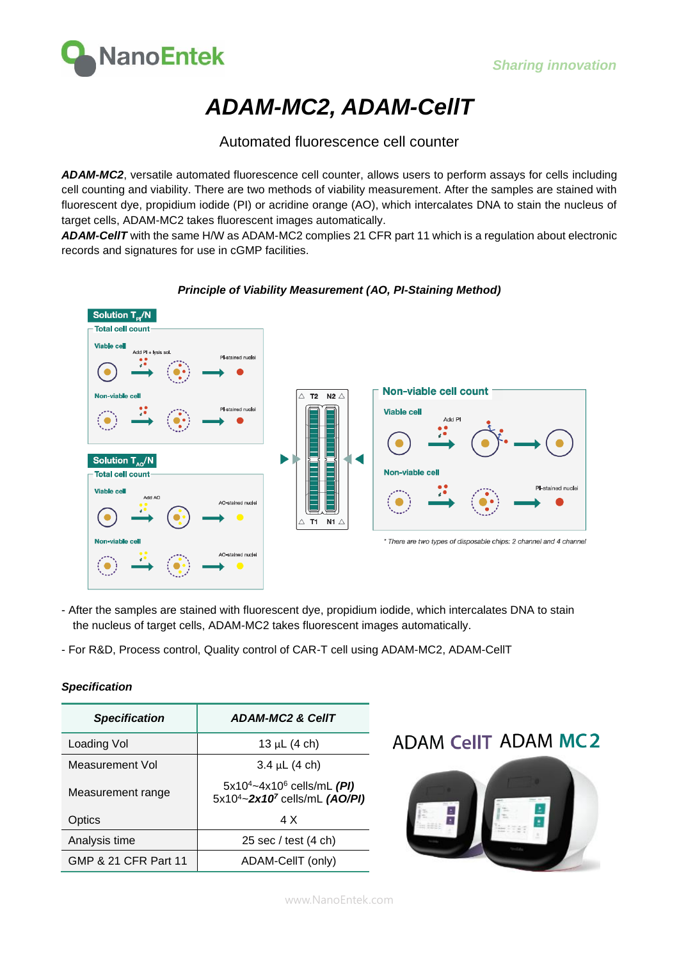

## **ADAM-MC2, ADAM-CellT**

### Automated fluorescence cell counter

**ADAM-MC2**, versatile automated fluorescence cell counter, allows users to perform assays for cells including cell counting and viability. There are two methods of viability measurement. After the samples are stained with fluorescent dye, propidium iodide (PI) or acridine orange (AO), which intercalates DNA to stain the nucleus of target cells, ADAM-MC2 takes fluorescent images automatically.

**ADAM-CellT** with the same H/W as ADAM-MC2 complies 21 CFR part 11 which is a regulation about electronic records and signatures for use in cGMP facilities.



#### **Principle of Viability Measurement (AO, PI-Staining Method)**

- After the samples are stained with fluorescent dye, propidium iodide, which intercalates DNA to stain the nucleus of target cells, ADAM-MC2 takes fluorescent images automatically.
- For R&D, Process control, Quality control of CAR-T cell using ADAM-MC2, ADAM-CellT

| <b>Specification</b> | <b>ADAM-MC2 &amp; CellT</b>                                                                                 |  |  |
|----------------------|-------------------------------------------------------------------------------------------------------------|--|--|
| Loading Vol          | 13 µL $(4 \text{ ch})$                                                                                      |  |  |
| Measurement Vol      | $3.4 \mu L$ (4 ch)                                                                                          |  |  |
| Measurement range    | 5x10 <sup>4</sup> ~4x10 <sup>6</sup> cells/mL (PI)<br>5x10 <sup>4</sup> ~2x10 <sup>7</sup> cells/mL (AO/PI) |  |  |
| Optics               | 4 X                                                                                                         |  |  |
| Analysis time        | 25 sec / test $(4 \text{ ch})$                                                                              |  |  |
| GMP & 21 CFR Part 11 | ADAM-CellT (only)                                                                                           |  |  |

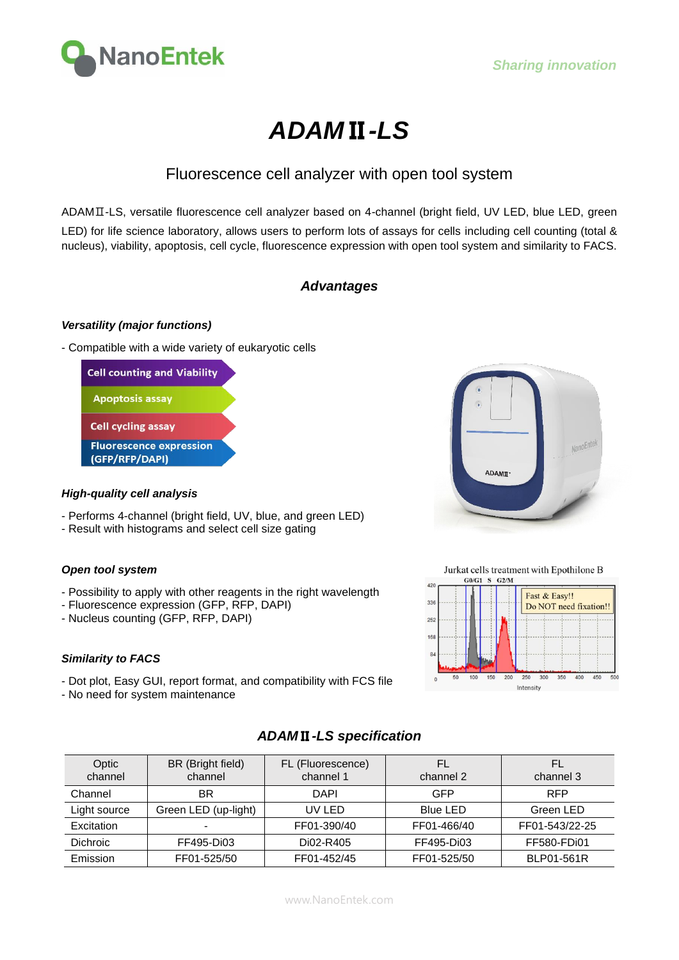

# **ADAM**Ⅱ**-LS**

## Fluorescence cell analyzer with open tool system

ADAMⅡ-LS, versatile fluorescence cell analyzer based on 4-channel (bright field, UV LED, blue LED, green LED) for life science laboratory, allows users to perform lots of assays for cells including cell counting (total & nucleus), viability, apoptosis, cell cycle, fluorescence expression with open tool system and similarity to FACS.

### **Advantages**

#### **Versatility (major functions)**

- Compatible with a wide variety of eukaryotic cells



#### **High-quality cell analysis**

- Performs 4-channel (bright field, UV, blue, and green LED)
- Result with histograms and select cell size gating

#### **Open tool system**

- Possibility to apply with other reagents in the right wavelength
- Fluorescence expression (GFP, RFP, DAPI)
- Nucleus counting (GFP, RFP, DAPI)

#### **Similarity to FACS**

- Dot plot, Easy GUI, report format, and compatibility with FCS file
- No need for system maintenance



Jurkat cells treatment with Epothilone B



## **ADAM**Ⅱ**-LS specification**

| Optic<br>channel | BR (Bright field)<br>channel | FL (Fluorescence)<br>channel 1 | FL<br>channel 2 | FL<br>channel 3 |
|------------------|------------------------------|--------------------------------|-----------------|-----------------|
| Channel          | ΒR                           | <b>DAPI</b>                    | GFP             | <b>RFP</b>      |
| Light source     | Green LED (up-light)         | UV LED                         | <b>Blue LED</b> | Green LED       |
| Excitation       |                              | FF01-390/40                    | FF01-466/40     | FF01-543/22-25  |
| Dichroic         | FF495-Di03                   | Di02-R405                      | FF495-Di03      | FF580-FDi01     |
| Emission         | FF01-525/50                  | FF01-452/45                    | FF01-525/50     | BLP01-561R      |